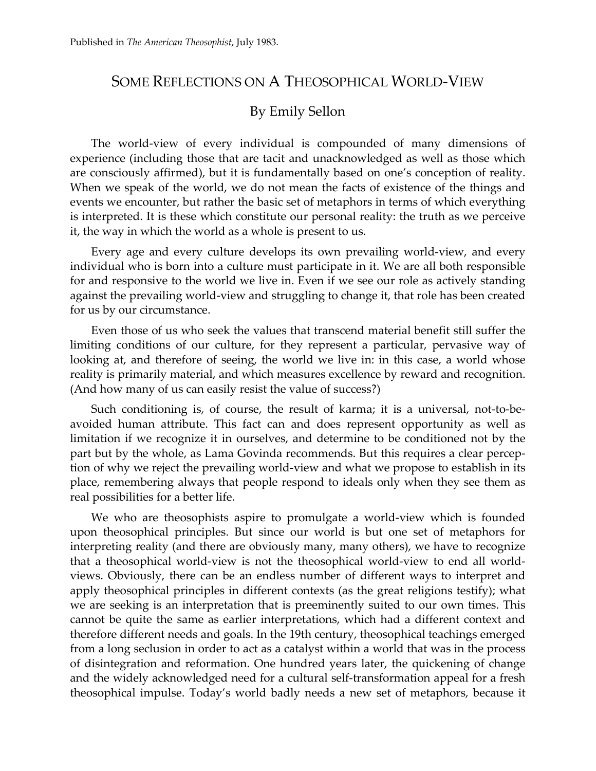## SOME REFLECTIONS ON A THEOSOPHICAL WORLD-VIEW

## By Emily Sellon

The world-view of every individual is compounded of many dimensions of experience (including those that are tacit and unacknowledged as well as those which are consciously affirmed), but it is fundamentally based on one's conception of reality. When we speak of the world, we do not mean the facts of existence of the things and events we encounter, but rather the basic set of metaphors in terms of which everything is interpreted. It is these which constitute our personal reality: the truth as we perceive it, the way in which the world as a whole is present to us.

Every age and every culture develops its own prevailing world-view, and every individual who is born into a culture must participate in it. We are all both responsible for and responsive to the world we live in. Even if we see our role as actively standing against the prevailing world-view and struggling to change it, that role has been created for us by our circumstance.

Even those of us who seek the values that transcend material benefit still suffer the limiting conditions of our culture, for they represent a particular, pervasive way of looking at, and therefore of seeing, the world we live in: in this case, a world whose reality is primarily material, and which measures excellence by reward and recognition. (And how many of us can easily resist the value of success?)

Such conditioning is, of course, the result of karma; it is a universal, not-to-beavoided human attribute. This fact can and does represent opportunity as well as limitation if we recognize it in ourselves, and determine to be conditioned not by the part but by the whole, as Lama Govinda recommends. But this requires a clear perception of why we reject the prevailing world-view and what we propose to establish in its place, remembering always that people respond to ideals only when they see them as real possibilities for a better life.

We who are theosophists aspire to promulgate a world-view which is founded upon theosophical principles. But since our world is but one set of metaphors for interpreting reality (and there are obviously many, many others), we have to recognize that a theosophical world-view is not the theosophical world-view to end all worldviews. Obviously, there can be an endless number of different ways to interpret and apply theosophical principles in different contexts (as the great religions testify); what we are seeking is an interpretation that is preeminently suited to our own times. This cannot be quite the same as earlier interpretations, which had a different context and therefore different needs and goals. In the 19th century, theosophical teachings emerged from a long seclusion in order to act as a catalyst within a world that was in the process of disintegration and reformation. One hundred years later, the quickening of change and the widely acknowledged need for a cultural self-transformation appeal for a fresh theosophical impulse. Today's world badly needs a new set of metaphors, because it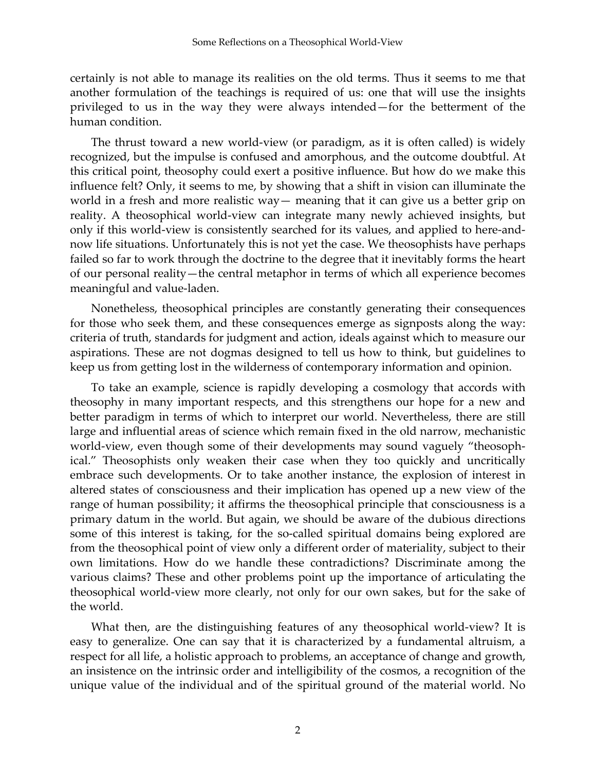certainly is not able to manage its realities on the old terms. Thus it seems to me that another formulation of the teachings is required of us: one that will use the insights privileged to us in the way they were always intended—for the betterment of the human condition.

The thrust toward a new world-view (or paradigm, as it is often called) is widely recognized, but the impulse is confused and amorphous, and the outcome doubtful. At this critical point, theosophy could exert a positive influence. But how do we make this influence felt? Only, it seems to me, by showing that a shift in vision can illuminate the world in a fresh and more realistic way— meaning that it can give us a better grip on reality. A theosophical world-view can integrate many newly achieved insights, but only if this world-view is consistently searched for its values, and applied to here-andnow life situations. Unfortunately this is not yet the case. We theosophists have perhaps failed so far to work through the doctrine to the degree that it inevitably forms the heart of our personal reality—the central metaphor in terms of which all experience becomes meaningful and value-laden.

Nonetheless, theosophical principles are constantly generating their consequences for those who seek them, and these consequences emerge as signposts along the way: criteria of truth, standards for judgment and action, ideals against which to measure our aspirations. These are not dogmas designed to tell us how to think, but guidelines to keep us from getting lost in the wilderness of contemporary information and opinion.

To take an example, science is rapidly developing a cosmology that accords with theosophy in many important respects, and this strengthens our hope for a new and better paradigm in terms of which to interpret our world. Nevertheless, there are still large and influential areas of science which remain fixed in the old narrow, mechanistic world-view, even though some of their developments may sound vaguely "theosophical." Theosophists only weaken their case when they too quickly and uncritically embrace such developments. Or to take another instance, the explosion of interest in altered states of consciousness and their implication has opened up a new view of the range of human possibility; it affirms the theosophical principle that consciousness is a primary datum in the world. But again, we should be aware of the dubious directions some of this interest is taking, for the so-called spiritual domains being explored are from the theosophical point of view only a different order of materiality, subject to their own limitations. How do we handle these contradictions? Discriminate among the various claims? These and other problems point up the importance of articulating the theosophical world-view more clearly, not only for our own sakes, but for the sake of the world.

What then, are the distinguishing features of any theosophical world-view? It is easy to generalize. One can say that it is characterized by a fundamental altruism, a respect for all life, a holistic approach to problems, an acceptance of change and growth, an insistence on the intrinsic order and intelligibility of the cosmos, a recognition of the unique value of the individual and of the spiritual ground of the material world. No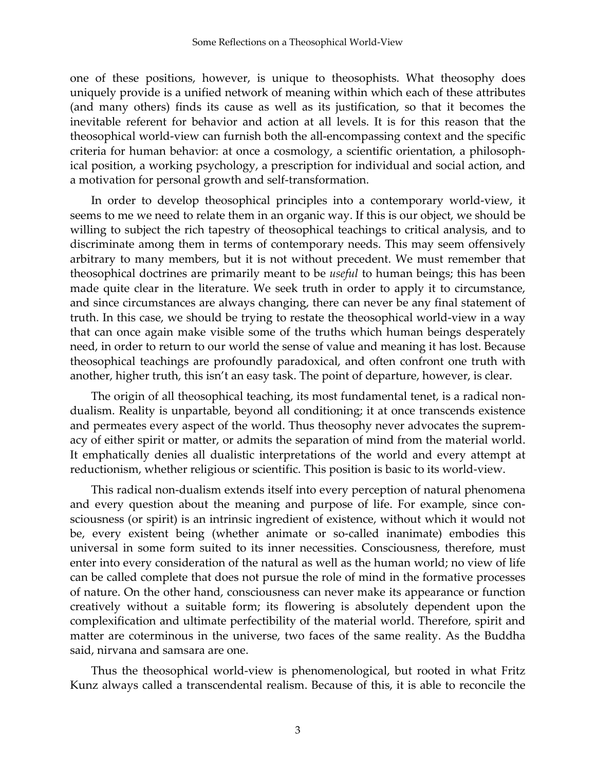one of these positions, however, is unique to theosophists. What theosophy does uniquely provide is a unified network of meaning within which each of these attributes (and many others) finds its cause as well as its justification, so that it becomes the inevitable referent for behavior and action at all levels. It is for this reason that the theosophical world-view can furnish both the all-encompassing context and the specific criteria for human behavior: at once a cosmology, a scientific orientation, a philosophical position, a working psychology, a prescription for individual and social action, and a motivation for personal growth and self-transformation.

In order to develop theosophical principles into a contemporary world-view, it seems to me we need to relate them in an organic way. If this is our object, we should be willing to subject the rich tapestry of theosophical teachings to critical analysis, and to discriminate among them in terms of contemporary needs. This may seem offensively arbitrary to many members, but it is not without precedent. We must remember that theosophical doctrines are primarily meant to be *useful* to human beings; this has been made quite clear in the literature. We seek truth in order to apply it to circumstance, and since circumstances are always changing, there can never be any final statement of truth. In this case, we should be trying to restate the theosophical world-view in a way that can once again make visible some of the truths which human beings desperately need, in order to return to our world the sense of value and meaning it has lost. Because theosophical teachings are profoundly paradoxical, and often confront one truth with another, higher truth, this isn't an easy task. The point of departure, however, is clear.

The origin of all theosophical teaching, its most fundamental tenet, is a radical nondualism. Reality is unpartable, beyond all conditioning; it at once transcends existence and permeates every aspect of the world. Thus theosophy never advocates the supremacy of either spirit or matter, or admits the separation of mind from the material world. It emphatically denies all dualistic interpretations of the world and every attempt at reductionism, whether religious or scientific. This position is basic to its world-view.

This radical non-dualism extends itself into every perception of natural phenomena and every question about the meaning and purpose of life. For example, since consciousness (or spirit) is an intrinsic ingredient of existence, without which it would not be, every existent being (whether animate or so-called inanimate) embodies this universal in some form suited to its inner necessities. Consciousness, therefore, must enter into every consideration of the natural as well as the human world; no view of life can be called complete that does not pursue the role of mind in the formative processes of nature. On the other hand, consciousness can never make its appearance or function creatively without a suitable form; its flowering is absolutely dependent upon the complexification and ultimate perfectibility of the material world. Therefore, spirit and matter are coterminous in the universe, two faces of the same reality. As the Buddha said, nirvana and samsara are one.

Thus the theosophical world-view is phenomenological, but rooted in what Fritz Kunz always called a transcendental realism. Because of this, it is able to reconcile the